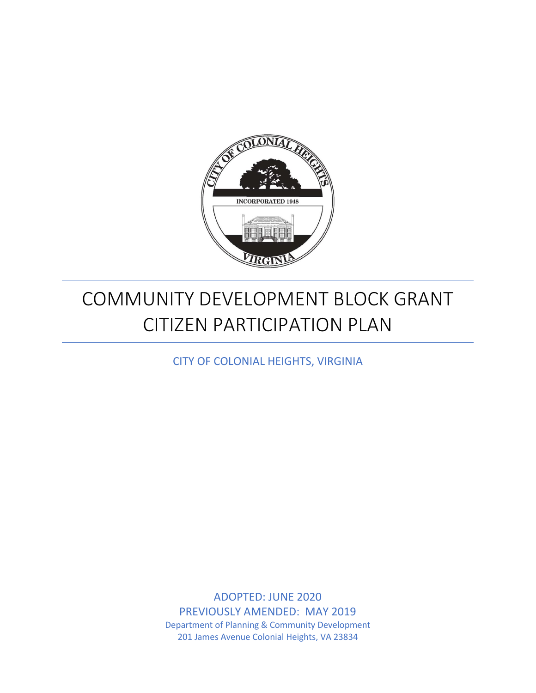

# COMMUNITY DEVELOPMENT BLOCK GRANT CITIZEN PARTICIPATION PLAN

CITY OF COLONIAL HEIGHTS, VIRGINIA

ADOPTED: JUNE 2020 PREVIOUSLY AMENDED: MAY 2019 Department of Planning & Community Development 201 James Avenue Colonial Heights, VA 23834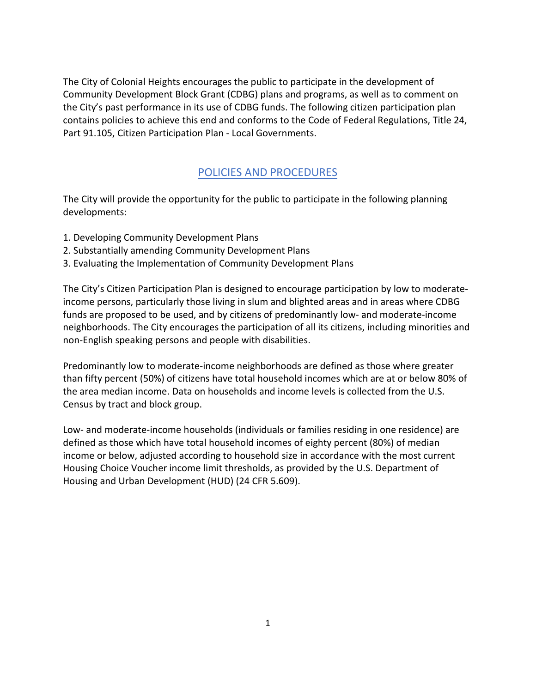The City of Colonial Heights encourages the public to participate in the development of Community Development Block Grant (CDBG) plans and programs, as well as to comment on the City's past performance in its use of CDBG funds. The following citizen participation plan contains policies to achieve this end and conforms to the Code of Federal Regulations, Title 24, Part 91.105, Citizen Participation Plan - Local Governments.

# POLICIES AND PROCEDURES

The City will provide the opportunity for the public to participate in the following planning developments:

- 1. Developing Community Development Plans
- 2. Substantially amending Community Development Plans
- 3. Evaluating the Implementation of Community Development Plans

The City's Citizen Participation Plan is designed to encourage participation by low to moderateincome persons, particularly those living in slum and blighted areas and in areas where CDBG funds are proposed to be used, and by citizens of predominantly low- and moderate-income neighborhoods. The City encourages the participation of all its citizens, including minorities and non-English speaking persons and people with disabilities.

Predominantly low to moderate-income neighborhoods are defined as those where greater than fifty percent (50%) of citizens have total household incomes which are at or below 80% of the area median income. Data on households and income levels is collected from the U.S. Census by tract and block group.

Low- and moderate-income households (individuals or families residing in one residence) are defined as those which have total household incomes of eighty percent (80%) of median income or below, adjusted according to household size in accordance with the most current Housing Choice Voucher income limit thresholds, as provided by the U.S. Department of Housing and Urban Development (HUD) (24 CFR 5.609).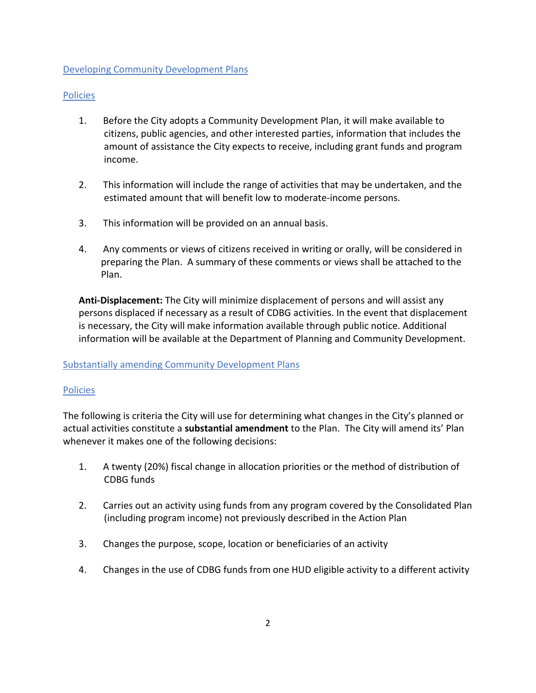## Developing Community Development Plans

#### Policies

- 1. Before the City adopts a Community Development Plan, it will make available to citizens, public agencies, and other interested parties, information that includes the amount of assistance the City expects to receive, including grant funds and program income.
- 2. This information will include the range of activities that may be undertaken, and the estimated amount that will benefit low to moderate-income persons.
- 3. This information will be provided on an annual basis.
- 4. Any comments or views of citizens received in writing or orally, will be considered in preparing the Plan. A summary of these comments or views shall be attached to the Plan.

**Anti-Displacement:** The City will minimize displacement of persons and will assist any persons displaced if necessary as a result of CDBG activities. In the event that displacement is necessary, the City will make information available through public notice. Additional information will be available at the Department of Planning and Community Development.

#### Substantially amending Community Development Plans

#### Policies

The following is criteria the City will use for determining what changes in the City's planned or actual activities constitute a **substantial amendment** to the Plan. The City will amend its' Plan whenever it makes one of the following decisions:

- 1. A twenty (20%) fiscal change in allocation priorities or the method of distribution of CDBG funds
- 2. Carries out an activity using funds from any program covered by the Consolidated Plan (including program income) not previously described in the Action Plan
- 3. Changes the purpose, scope, location or beneficiaries of an activity
- 4. Changes in the use of CDBG funds from one HUD eligible activity to a different activity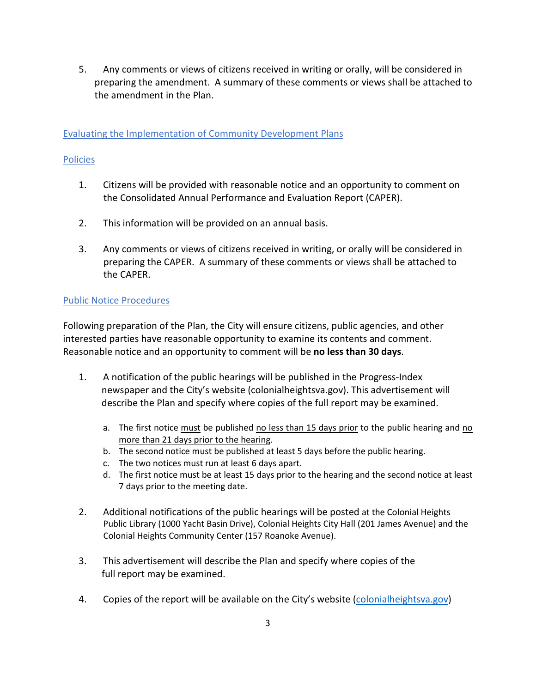5. Any comments or views of citizens received in writing or orally, will be considered in preparing the amendment. A summary of these comments or views shall be attached to the amendment in the Plan.

## Evaluating the Implementation of Community Development Plans

#### Policies

- 1. Citizens will be provided with reasonable notice and an opportunity to comment on the Consolidated Annual Performance and Evaluation Report (CAPER).
- 2. This information will be provided on an annual basis.
- 3. Any comments or views of citizens received in writing, or orally will be considered in preparing the CAPER. A summary of these comments or views shall be attached to the CAPER.

## Public Notice Procedures

Following preparation of the Plan, the City will ensure citizens, public agencies, and other interested parties have reasonable opportunity to examine its contents and comment. Reasonable notice and an opportunity to comment will be **no less than 30 days**.

- 1. A notification of the public hearings will be published in the Progress-Index newspaper and the City's website (colonialheightsva.gov). This advertisement will describe the Plan and specify where copies of the full report may be examined.
	- a. The first notice must be published no less than 15 days prior to the public hearing and  $\underline{no}$ more than 21 days prior to the hearing.
	- b. The second notice must be published at least 5 days before the public hearing.
	- c. The two notices must run at least 6 days apart.
	- d. The first notice must be at least 15 days prior to the hearing and the second notice at least 7 days prior to the meeting date.
- 2. Additional notifications of the public hearings will be posted at the Colonial Heights Public Library (1000 Yacht Basin Drive), Colonial Heights City Hall (201 James Avenue) and the Colonial Heights Community Center (157 Roanoke Avenue).
- 3. This advertisement will describe the Plan and specify where copies of the full report may be examined.
- 4. Copies of the report will be available on the City's website [\(colonialheightsva.gov\)](http://www.colonialheightsva.gov/)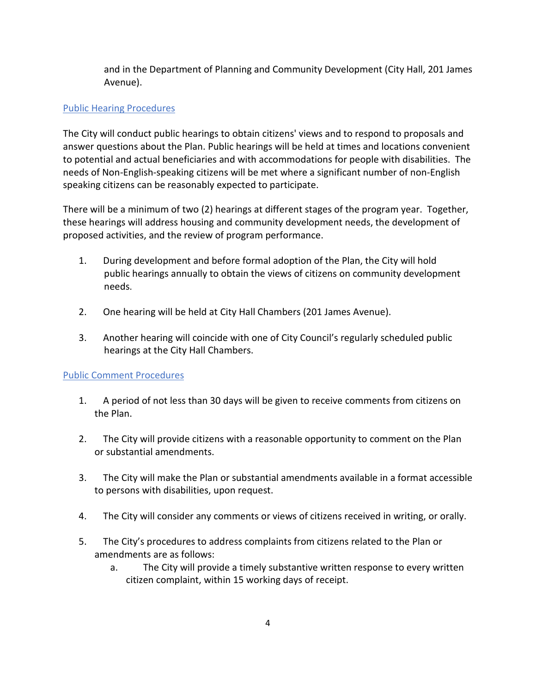and in the Department of Planning and Community Development (City Hall, 201 James Avenue).

# Public Hearing Procedures

The City will conduct public hearings to obtain citizens' views and to respond to proposals and answer questions about the Plan. Public hearings will be held at times and locations convenient to potential and actual beneficiaries and with accommodations for people with disabilities. The needs of Non-English-speaking citizens will be met where a significant number of non-English speaking citizens can be reasonably expected to participate.

There will be a minimum of two (2) hearings at different stages of the program year. Together, these hearings will address housing and community development needs, the development of proposed activities, and the review of program performance.

- 1. During development and before formal adoption of the Plan, the City will hold public hearings annually to obtain the views of citizens on community development needs.
- 2. One hearing will be held at City Hall Chambers (201 James Avenue).
- 3. Another hearing will coincide with one of City Council's regularly scheduled public hearings at the City Hall Chambers.

## Public Comment Procedures

- 1. A period of not less than 30 days will be given to receive comments from citizens on the Plan.
- 2. The City will provide citizens with a reasonable opportunity to comment on the Plan or substantial amendments.
- 3. The City will make the Plan or substantial amendments available in a format accessible to persons with disabilities, upon request.
- 4. The City will consider any comments or views of citizens received in writing, or orally.
- 5. The City's procedures to address complaints from citizens related to the Plan or amendments are as follows:
	- a. The City will provide a timely substantive written response to every written citizen complaint, within 15 working days of receipt.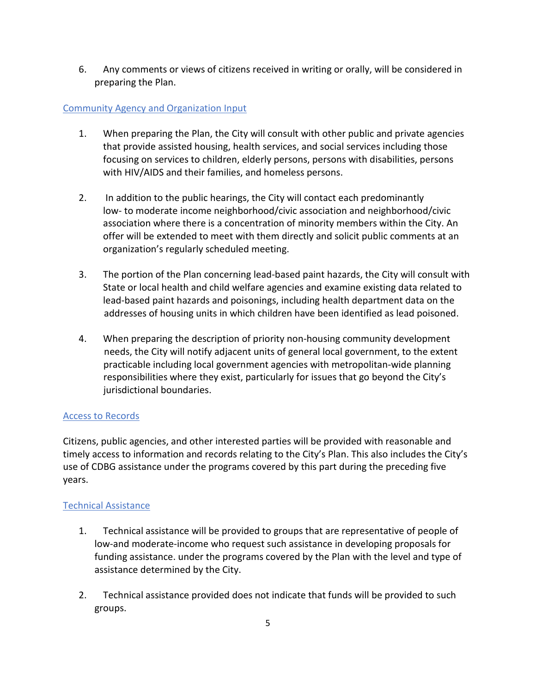6. Any comments or views of citizens received in writing or orally, will be considered in preparing the Plan.

# Community Agency and Organization Input

- 1. When preparing the Plan, the City will consult with other public and private agencies that provide assisted housing, health services, and social services including those focusing on services to children, elderly persons, persons with disabilities, persons with HIV/AIDS and their families, and homeless persons.
- 2. In addition to the public hearings, the City will contact each predominantly low- to moderate income neighborhood/civic association and neighborhood/civic association where there is a concentration of minority members within the City. An offer will be extended to meet with them directly and solicit public comments at an organization's regularly scheduled meeting.
- 3. The portion of the Plan concerning lead-based paint hazards, the City will consult with State or local health and child welfare agencies and examine existing data related to lead-based paint hazards and poisonings, including health department data on the addresses of housing units in which children have been identified as lead poisoned.
- 4. When preparing the description of priority non-housing community development needs, the City will notify adjacent units of general local government, to the extent practicable including local government agencies with metropolitan-wide planning responsibilities where they exist, particularly for issues that go beyond the City's jurisdictional boundaries.

## Access to Records

Citizens, public agencies, and other interested parties will be provided with reasonable and timely access to information and records relating to the City's Plan. This also includes the City's use of CDBG assistance under the programs covered by this part during the preceding five years.

## Technical Assistance

- 1. Technical assistance will be provided to groups that are representative of people of low-and moderate-income who request such assistance in developing proposals for funding assistance. under the programs covered by the Plan with the level and type of assistance determined by the City.
- 2. Technical assistance provided does not indicate that funds will be provided to such groups.